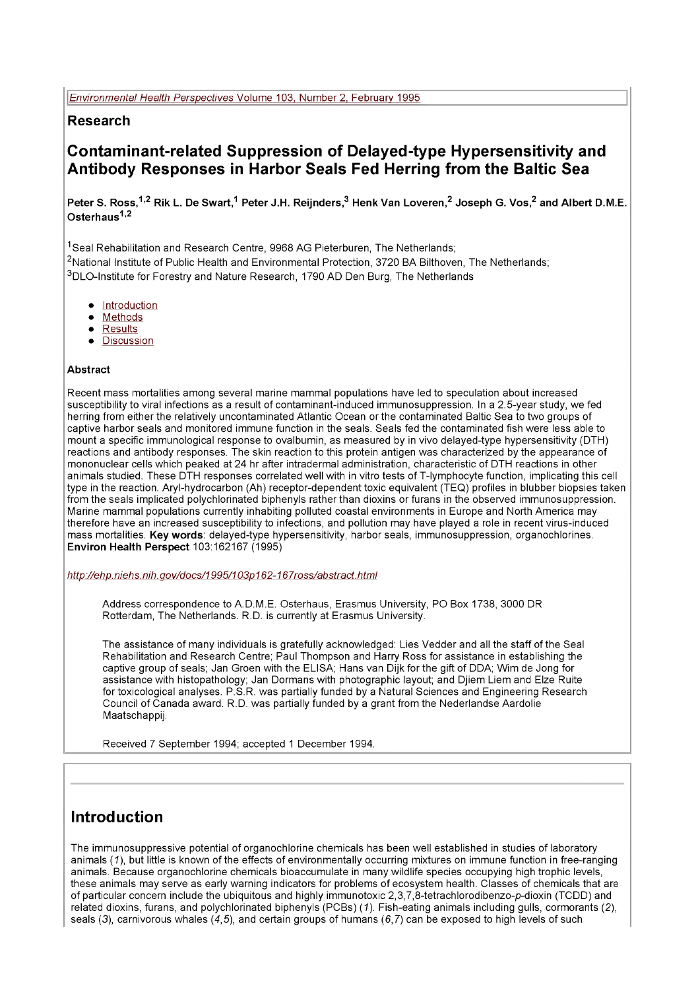### **Research**

## **Contaminant-related Suppression of Delayed-type Hypersensitivity and Antibody Responses in Harbor Seals Fed Herring from the Baltic Sea**

Peter S. Ross,<sup>1,2</sup> Rik L. De Swart,<sup>1</sup> Peter J.H. Reijnders,<sup>3</sup> Henk Van Loveren,<sup>2</sup> Joseph G. Vos,<sup>2</sup> and Albert D.M.E. **Osterhaus1,2**

<sup>1</sup>Seal Rehabilitation and Research Centre, 9968 AG Pieterburen, The Netherlands; <sup>2</sup>National Institute of Public Health and Environmental Protection, 3720 BA Bilthoven, The Netherlands; 3DLO-lnstitute for Forestry and Nature Research, 1790 AD Den Burg, The Netherlands

- Introduction
- **Methods**
- Results
- **Discussion**

#### **Abstract**

Recent mass mortalities among several marine mammal populations have led to speculation about increased susceptibility to viral infections as a result of contaminant-induced immunosuppression. In a 2.5-year study, we fed herring from either the relatively uncontaminated Atlantic Ocean or the contaminated Baltic Sea to two groups of captive harbor seals and monitored immune function in the seals. Seals fed the contaminated fish were less able to mount a specific immunological response to ovalbumin, as measured by in vivo delayed-type hypersensitivity (DTH) reactions and antibody responses. The skin reaction to this protein antigen was characterized by the appearance of mononuclear cells which peaked at 24 hr after intradermal administration, characteristic of DTH reactions in other animals studied. These DTH responses correlated well with in vitro tests of T-lymphocyte function, implicating this cell type in the reaction. Aryl-hydrocarbon (Ah) receptor-dependent toxic equivalent (TEQ) profiles in blubber biopsies taken from the seals implicated polychlorinated biphenyls rather than dioxins or furans in the observed immunosuppression. Marine mammal populations currently inhabiting polluted coastal environments in Europe and North America may therefore have an increased susceptibility to infections, and pollution may have played a role in recent virus-induced mass mortalities. **Keywords:** delayed-type hypersensitivity, harbor seals, immunosuppression, organochlorines. **Environ Health Perspect** 103:162167 (1995)

*[http://ehp.niehs.](http://ehp.niehs) nih.gov/docs/1995/103p 162-167ross/abstract.him!*

Address correspondence to A.D.M.E. Osterhaus, Erasmus University, PO Box 1738, 3000 DR Rotterdam, The Netherlands. R.D. is currently at Erasmus University.

The assistance of many individuals is gratefully acknowledged: Lies Vedder and all the staff of the Seal Rehabilitation and Research Centre; Paul Thompson and Harry Ross for assistance in establishing the captive group of seals; Jan Groen with the ELISA; Hans van Dijk for the gift of DDA; Wim de Jong for assistance with histopathology; Jan Dormans with photographic layout; and Djiem Liem and Elze Ruite for toxicological analyses. P.S.R. was partially funded by a Natural Sciences and Engineering Research Council of Canada award. R.D. was partially funded by a grant from the Nederlandse Aardolie Maatschappij.

Received 7 September 1994; accepted 1 December 1994.

## **Introduction**

The immunosuppressive potential of organochlorine chemicals has been well established in studies of laboratory animals (7), but little is known of the effects of environmentally occurring mixtures on immune function in free-ranging animals. Because organochlorine chemicals bioaccumulate in many wildlife species occupying high trophic levels, these animals may serve as early warning indicators for problems of ecosystem health. Classes of chemicals that are of particular concern include the ubiquitous and highly immunotoxic 2,3,7,8-tetrachlorodibenzo-p-dioxin (TCDD) and related dioxins, furans, and polychlorinated biphenyls (PCBs) (7). Fish-eating animals including gulls, cormorants (2), seals (3), carnivorous whales (4,5), and certain groups of humans (6,7) can be exposed to high levels of such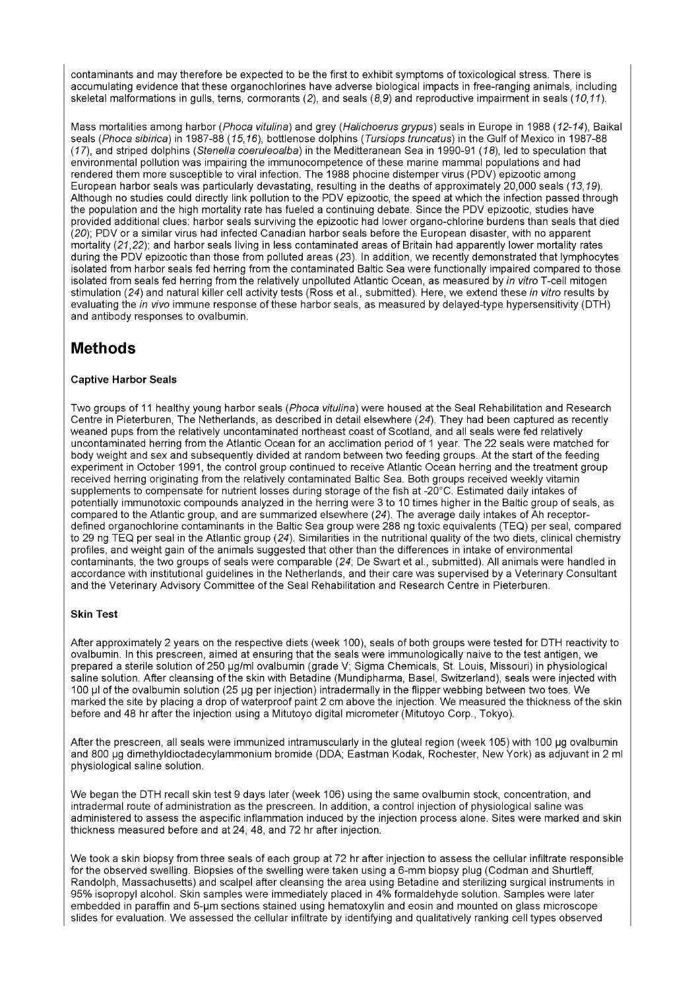contaminants and may therefore be expected to be the first to exhibit symptoms of toxicological stress. There is accumulating evidence that these organochlorines have adverse biological impacts in free-ranging animals, including skeletal malformations in gulls, terns, cormorants (2), and seals (8,9) and reproductive impairment in seals *(10,11).*

Mass mortalities among harbor (*Phoca vitulina)* and grey (*Halichoerus grypus)* seals in Europe in 1988 *(12-14),* Baikal seals *(Phoca sibirica)* in 1987-88 *(15,16),* bottlenose dolphins *(Tursiops truncatus)* in the Gulf of Mexico in 1987-88 *(17),* and striped dolphins *(Stenella coeruleoalba)* in the Meditteranean Sea in 1990-91 *(18),* led to speculation that environmental pollution was impairing the immunocompetence of these marine mammal populations and had rendered them more susceptible to viral infection. The 1988 phocine distemper virus (PDV) epizootic among European harbor seals was particularly devastating, resulting in the deaths of approximately 20,000 seals *(13,19).* Although no studies could directly link pollution to the PDV epizootic, the speed at which the infection passed through the population and the high mortality rate has fueled a continuing debate. Since the PDV epizootic, studies have provided additional clues: harbor seals surviving the epizootic had lower organo-chlorine burdens than seals that died *(20);* PDV o ra similar virus had infected Canadian harbor seals before the European disaster, with no apparent mortality *(21,22);* and harbor seals living in less contaminated areas of Britain had apparently lower mortality rates during the PDV epizootic than those from polluted areas (23). In addition, we recently demonstrated that lymphocytes isolated from harbor seals fed herring from the contaminated Baltic Sea were functionally impaired compared to those isolated from seals fed herring from the relatively unpolluted Atlantic Ocean, as measured by *in vitro* T-cell mitogen stimulation *(24)* and natural killer cell activity tests (Ross et al., submitted). Here, we extend these *in vitro* results by evaluating the *in vivo* immune response of these harbor seals, as measured by delayed-type hypersensitivity (DTH) and antibody responses to ovalbumin.

## **Methods**

#### **Captive Harbor Seals**

Two groups of 11 healthy young harbor seals *(Phoca vitulina)* were housed at the Seal Rehabilitation and Research Centre in Pieterburen, The Netherlands, as described in detail elsewhere *(24).* They had been captured as recently weaned pups from the relatively uncontaminated northeast coast of Scotland, and all seals were fed relatively uncontaminated herring from the Atlantic Ocean for an acclimation period of 1 year. The 22 seals were matched for body weight and sex and subsequently divided at random between two feeding groups. At the start of the feeding experiment in October 1991, the control group continued to receive Atlantic Ocean herring and the treatment group received herring originating from the relatively contaminated Baltic Sea. Both groups received weekly vitamin supplements to compensate for nutrient losses during storage of the fish at -20°C. Estimated daily intakes of potentially immunotoxic compounds analyzed in the herring were 3 to 10 times higher in the Baltic group of seals, as compared to the Atlantic group, and are summarized elsewhere *(24).* The average daily intakes of Ah receptordefined organochlorine contaminants in the Baltic Sea group were 288 ng toxic equivalents (TEQ) per seal, compared to 29 ng TEQ per seal in the Atlantic group *(24).* Similarities in the nutritional quality of the two diets, clinical chemistry profiles, and weight gain of the animals suggested that other than the differences in intake of environmental contaminants, the two groups of seals were comparable *(24;* De Swart et al., submitted). All animals were handled in accordance with institutional guidelines in the Netherlands, and their care was supervised by a Veterinary Consultant and the Veterinary Advisory Committee of the Seal Rehabilitation and Research Centre in Pieterburen.

#### **Skin Test**

After approximately 2 years on the respective diets (week 100), seals of both groups were tested for DTH reactivity to ovalbumin. In this prescreen, aimed at ensuring that the seals were immunologically naive to the test antigen, we prepared a sterile solution of 250 µg/ml ovalbumin (grade V; Sigma Chemicals, St. Louis, Missouri) in physiological saline solution. After cleansing of the skin with Betadine (Mundipharma, Basel, Switzerland), seals were injected with 100 pi of the ovalbumin solution (25 pg per injection) intradermally in the flipper webbing between two toes. We marked the site by placing a drop of waterproof paint 2 cm above the injection. We measured the thickness of the skin before and 48 hr after the injection using a Mitutoyo digital micrometer (Mitutoyo Corp., Tokyo).

After the prescreen, all seals were immunized intramuscularly in the gluteal region (week 105) with 100 µg ovalbumin and 800 pg dimethyldioctadecylammonium bromide (DDA; Eastman Kodak, Rochester, New York) as adjuvant in 2 ml physiological saline solution.

We began the DTH recall skin test 9 days later (week 106) using the same ovalbumin stock, concentration, and intradermal route of administration as the prescreen. In addition, a control injection of physiological saline was administered to assess the aspecific inflammation induced by the injection process alone. Sites were marked and skin thickness measured before and at 24, 48, and 72 hr after injection.

We took a skin biopsy from three seals of each group at 72 hr after injection to assess the cellular infiltrate responsible for the observed swelling. Biopsies of the swelling were taken using a 6-mm biopsy plug (Codman and Shurtleff, Randolph, Massachusetts) and scalpel after cleansing the area using Betadine and sterilizing surgical instruments in 95% isopropyl alcohol. Skin samples were immediately placed in 4% formaldehyde solution. Samples were later embedded in paraffin and 5-pm sections stained using hematoxylin and eosin and mounted on glass microscope slides for evaluation. We assessed the cellular infiltrate by identifying and qualitatively ranking cell types observed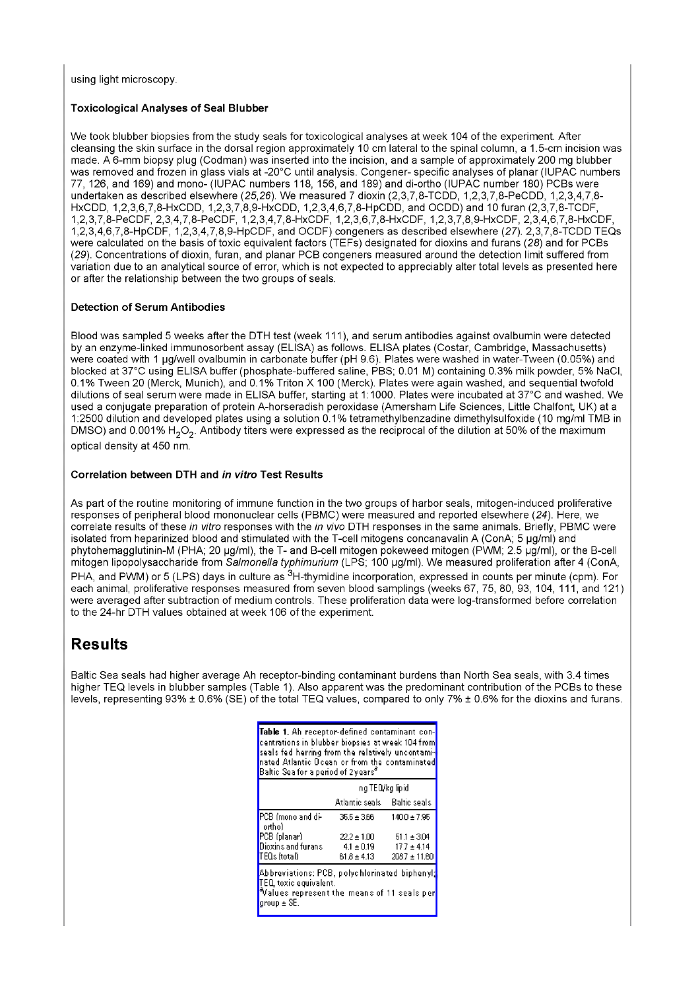using light microscopy.

#### **Toxicological Analyses of Seal Blubber**

We took blubber biopsies from the study seals for toxicological analyses at week 104 of the experiment. After cleansing the skin surface in the dorsal region approximately 10 cm lateral to the spinal column, a 1.5-cm incision was made. A 6-mm biopsy plug (Codman) was inserted into the incision, and a sample of approximately 200 mg blubber was removed and frozen in glass vials at -20°C until analysis. Congener- specific analyses of planar (IUPAC numbers 77, 126, and 169) and mono- (IUPAC numbers 118, 156, and 189) and di-ortho (IUPAC number 180) PCBs were undertaken as described elsewhere (25,26). We measured 7 dioxin (2,3,7,8-TCDD, 1,2,3,7,8-PeCDD, 1,2,3,4,7,8- HxCDD, 1,2,3,6,7,8-HxCDD, 1,2,3,7,8,9-HxCDD, 1,2,3,4,6,7,8-HpCDD, and OCDD) and 10 furan (2,3,7,8-TCDF, 1.2.3.7.8-PeCDF, 2,3,4,7,8-PeCDF, 1,2,3,4,7,8-HxCDF, 1,2,3,6,7,8-HxCDF, 1,2,3,7,8,9-HxCDF, 2,3,4,6,7,8-HxCDF, 1.2.3.4.6.7.8-HpCDF, 1,2,3,4,7,8,9-HpCDF, and OCDF) congeners as described elsewhere (27). 2,3,7,8-TCDD TEQs were calculated on the basis of toxic equivalent factors (TEFs) designated for dioxins and furans (28) and for PCBs (29). Concentrations of dioxin, furan, and planar PCB congeners measured around the detection limit suffered from variation due to an analytical source of error, which is not expected to appreciably alter total levels as presented here or after the relationship between the two groups of seals.

#### **Detection of Serum Antibodies**

Blood was sampled 5 weeks after the DTH test (week 111), and serum antibodies against ovalbumin were detected by an enzyme-linked immunosorbent assay (ELISA) as follows. ELISA plates (Costar, Cambridge, Massachusetts) were coated with 1 pg/well ovalbumin in carbonate buffer (pH 9.6). Plates were washed in water-Tween (0.05%) and blocked at 37°C using ELISA buffer (phosphate-buffered saline, PBS; 0.01 M) containing 0.3% milk powder, 5% NaCI, 0.1% Tween 20 (Merck, Munich), and 0.1% Triton X 100 (Merck). Plates were again washed, and sequential twofold dilutions of seal serum were made in ELISA buffer, starting at 1:1000. Plates were incubated at 37°C and washed. We used a conjugate preparation of protein A-horseradish peroxidase (Amersham Life Sciences, Little Chalfont, UK) at a 1:2500 dilution and developed plates using a solution 0.1% tetramethylbenzadine dimethylsulfoxide (10 mg/ml TMB in DMSO) and 0.001% H<sub>2</sub>O<sub>2</sub>. Antibody titers were expressed as the reciprocal of the dilution at 50% of the maximum optical density at 450 nm.

#### **Correlation between DTH and** *in vitro* **Test Results**

As part of the routine monitoring of immune function in the two groups of harbor seals, mitogen-induced proliferative responses of peripheral blood mononuclear cells (PBMC) were measured and reported elsewhere (24). Here, we correlate results of these *in vitro* responses with the *in vivo* DTH responses in the same animals. Briefly, PBMC were isolated from heparinized blood and stimulated with the T-cell mitogens concanavalin A (ConA; 5 pg/ml) and phytohemagglutinin-M (PHA; 20 µg/ml), the T- and B-cell mitogen pokeweed mitogen (PWM; 2.5 µg/ml), or the B-cell mitogen lipopolysaccharide from *Salmonella typhimurium* (LPS; 100 pg/ml). We measured proliferation after 4 (ConA, PHA, and PWM) or 5 (LPS) days in culture as <sup>3</sup>H-thymidine incorporation, expressed in counts per minute (cpm). For each animal, proliferative responses measured from seven blood samplings (weeks 67, 75, 80, 93, 104, 111, and 121) were averaged after subtraction of medium controls. These proliferation data were log-transformed before correlation to the 24-hr DTH values obtained at week 106 of the experiment.

### **Results**

Baltic Sea seals had higher average Ah receptor-binding contaminant burdens than North Sea seals, with 3.4 times higher TEQ levels in blubber samples (Table 1). Also apparent was the predominant contribution of the PCBs to these levels, representing 93% ± 0.6% (SE) of the total TEQ values, compared to only 7% ± 0.6% for the dioxins and furans.

| Table 1. Ah receptor-defined contaminant con-<br>centrations in blubber biopsies at week 104 from<br>seals fed herring from the relatively uncontami-<br>nated Atlantic Ocean or from the contaminated<br>${\sf B}$ altic ${\sf Sea}$ for a period of 2 vears $^{\sigma}$ |                             |                  |
|---------------------------------------------------------------------------------------------------------------------------------------------------------------------------------------------------------------------------------------------------------------------------|-----------------------------|------------------|
|                                                                                                                                                                                                                                                                           | ng TEQ/kg lipid             |                  |
|                                                                                                                                                                                                                                                                           | Atlantic seals Baltic seals |                  |
| PCB (mono and di-<br>orthol                                                                                                                                                                                                                                               | $35.5 \pm 366$              | 140.0±7.95       |
| PCB (planar)                                                                                                                                                                                                                                                              | $22.2 \pm 1.00$             | $-51.1 \pm 3.04$ |
| Dioxins and furans -                                                                                                                                                                                                                                                      | $4.1 \pm 0.19$              | $17.7 \pm 4.14$  |
| l'I EQs ítotali                                                                                                                                                                                                                                                           | 61 <i>8</i> ± 4.13          | 206.7 ± 11.60    |
| Abbreviations: PCB, polychlorinated biphenyl;<br>TEQ, toxic equivalent.<br>$\mathbb {V}$ alues represent the means of 11 seals per<br>aroup ± SE.                                                                                                                         |                             |                  |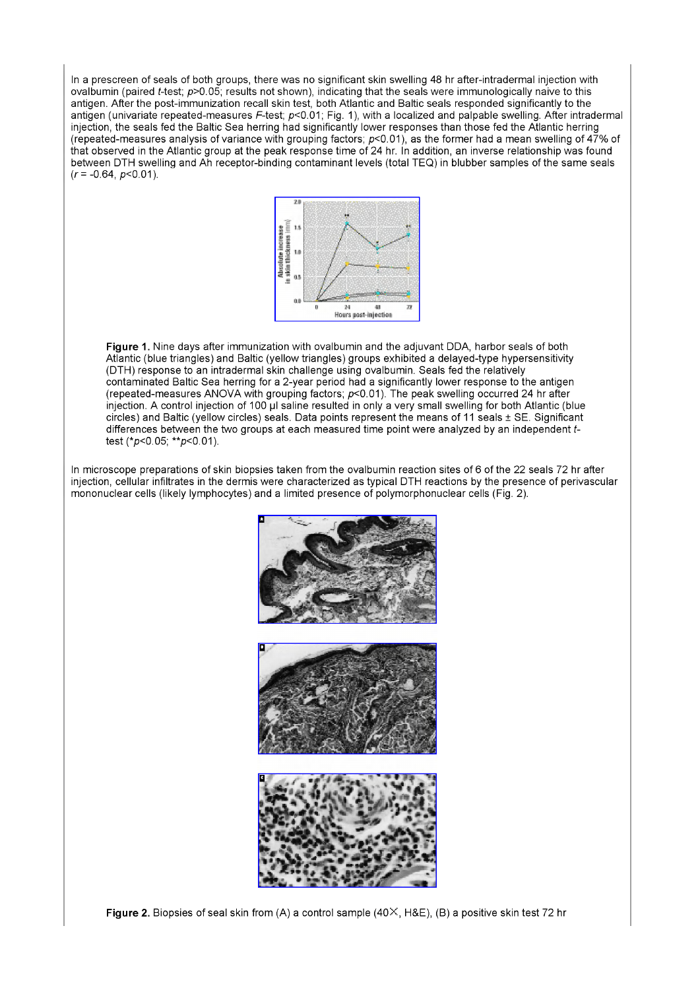In a prescreen of seals of both groups, there was no significant skin swelling 48 hr after-intradermal injection with ovalbumin (paired f-test; *p>*0.05; results not shown), indicating that the seals were immunologically naive to this antigen. After the post-immunization recall skin test, both Atlantic and Baltic seals responded significantly to the antigen (univariate repeated-measures F-test;  $p<0.01$ ; Fig. 1), with a localized and palpable swelling. After intradermal injection, the seals fed the Baltic Sea herring had significantly lower responses than those fed the Atlantic herring (repeated-measures analysis of variance with grouping factors;  $p<0.01$ ), as the former had a mean swelling of 47% of that observed in the Atlantic group at the peak response time of 24 hr. In addition, an inverse relationship was found between DTH swelling and Ah receptor-binding contaminant levels (total TEQ) in blubber samples of the same seals  $(r = -0.64, p < 0.01)$ .



**Figure 1.** Nine days after immunization with ovalbumin and the adjuvant DDA, harbor seals of both Atlantic (blue triangles) and Baltic (yellow triangles) groups exhibited a delayed-type hypersensitivity (DTH) response to an intradermal skin challenge using ovalbumin. Seals fed the relatively contaminated Baltic Sea herring for a 2-year period had a significantly lower response to the antigen (repeated-measures ANOVA with grouping factors;  $p<0.01$ ). The peak swelling occurred 24 hr after injection. A control injection of 100 µl saline resulted in only a very small swelling for both Atlantic (blue circles) and Baltic (yellow circles) seals. Data points represent the means of 11 seals ± SE. Significant differences between the two groups at each measured time point were analyzed by an independent *t*test (\* $p$ <0.05; \*\* $p$ <0.01).

In microscope preparations of skin biopsies taken from the ovalbumin reaction sites of 6 of the 22 seals 72 hr after injection, cellular infiltrates in the dermis were characterized as typical DTH reactions by the presence of perivascular mononuclear cells (likely lymphocytes) and a limited presence of polymorphonuclear cells (Fig. 2).



**Figure 2.** Biopsies of seal skin from (A) a control sample (40X, H&E), (B) a positive skin test 72 hr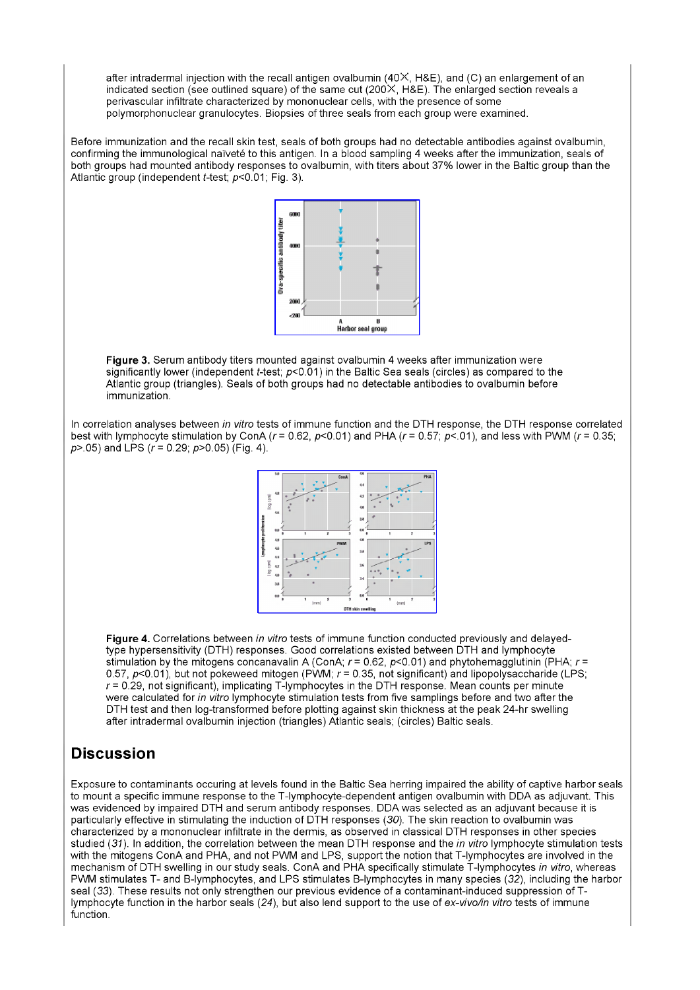after intradermal injection with the recall antigen ovalbumin ( $40\times$ , H&E), and (C) an enlargement of an indicated section (see outlined square) of the same cut (200X, H&E). The enlarged section reveals a perivascular infiltrate characterized by mononuclear cells, with the presence of some polymorphonuclear granulocytes. Biopsies of three seals from each group were examined.

Before immunization and the recall skin test, seals of both groups had no detectable antibodies against ovalbumin, confirming the immunological naïveté to this antigen. In a blood sampling 4 weeks after the immunization, seals of both groups had mounted antibody responses to ovalbumin, with titers about 37% lower in the Baltic group than the Atlantic group (independent *t*-test;  $p < 0.01$ ; Fig. 3).



**Figure** 3. Serum antibody titers mounted against ovalbumin 4 weeks after immunization were significantly lower (independent *t*-test;  $p<0.01$ ) in the Baltic Sea seals (circles) as compared to the Atlantic group (triangles). Seals of both groups had no detectable antibodies to ovalbumin before immunization.

In correlation analyses between *in vitro* tests of immune function and the DTH response, the DTH response correlated best with lymphocyte stimulation by ConA *(r=* 0.62, p<0.01) and PHA *(r =* 0.57; p<.01), and less with PWM *(r =* 0.35;  $p$  > 0.05) and LPS ( $r = 0.29$ ;  $p$  > 0.05) (Fig. 4).



**Figure 4.** Correlations between *in vitro* tests of immune function conducted previously and delayedtype hypersensitivity (DTH) responses. Good correlations existed between DTH and lymphocyte stimulation by the mitogens concanavalin A (ConA; *r=* 0.62, p<0.01) and phytohemagglutinin (PHA; *r =* 0.57, p<0.01), but not pokeweed mitogen (PWM; *r =* 0.35, not significant) and lipopolysaccharide (LPS; *r* = 0.29, not significant), implicating T-lymphocytes in the DTH response. Mean counts per minute were calculated for *in vitro* lymphocyte stimulation tests from five samplings before and two after the DTH test and then log-transformed before plotting against skin thickness at the peak 24-hr swelling after intradermal ovalbumin injection (triangles) Atlantic seals; (circles) Baltic seals.

# **Discussion**

Exposure to contaminants occuring at levels found in the Baltic Sea herring impaired the ability of captive harbor seals to mount a specific immune response to the T-lymphocyte-dependent antigen ovalbumin with DDA as adjuvant. This was evidenced by impaired DTH and serum antibody responses. DDA was selected as an adjuvant because it is particularly effective in stimulating the induction of DTH responses (30). The skin reaction to ovalbumin was characterized by a mononuclear infiltrate in the dermis, as observed in classical DTH responses in other species studied *(31).* In addition, the correlation between the mean DTH response and the *in vitro* lymphocyte stimulation tests with the mitogens ConA and PHA, and not PWM and LPS, support the notion that T-lymphocytes are involved in the mechanism of DTH swelling in our study seals. ConA and PHA specifically stimulate T-lymphocytes *in vitro,* whereas PWM stimulates T- and B-lymphocytes, and LPS stimulates B-lymphocytes in many species *(32),* including the harbor seal (33). These results not only strengthen our previous evidence of a contaminant-induced suppression of Tlymphocyte function in the harbor seals *(24),* but also lend support to the use of *ex-vivo/in vitro* tests of immune function.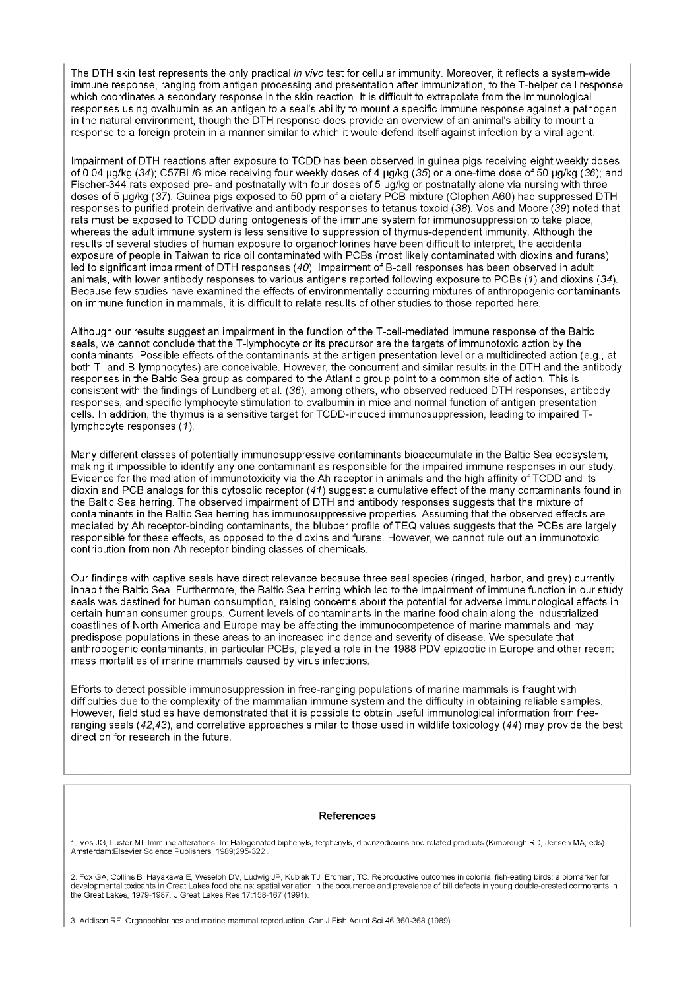The DTH skin test represents the only practical *in vivo* test for cellular immunity. Moreover, it reflects a system-wide immune response, ranging from antigen processing and presentation after immunization, to the T-helper cell response which coordinates a secondary response in the skin reaction. It is difficult to extrapolate from the immunological responses using ovalbumin as an antigen to a seal's ability to mount a specific immune response against a pathogen in the natural environment, though the DTH response does provide an overview of an animal's ability to mount a response to a foreign protein in a manner similar to which it would defend itself against infection by a viral agent.

Impairment of DTH reactions after exposure to TCDD has been observed in guinea pigs receiving eight weekly doses of 0.04 µg/kg (34); C57BL/6 mice receiving four weekly doses of 4 µg/kg (35) or a one-time dose of 50 µg/kg (36); and Fischer-344 rats exposed pre- and postnatally with four doses of 5 µg/kg or postnatally alone via nursing with three doses of 5 pg/kg (37). Guinea pigs exposed to 50 ppm of a dietary PCB mixture (Clophen A60) had suppressed DTH responses to purified protein derivative and antibody responses to tetanus toxoid (38). Vos and Moore (39) noted that rats must be exposed to TCDD during ontogenesis of the immune system for immunosuppression to take place, whereas the adult immune system is less sensitive to suppression of thymus-dependent immunity. Although the results of several studies of human exposure to organochlorines have been difficult to interpret, the accidental exposure of people in Taiwan to rice oil contaminated with PCBs (most likely contaminated with dioxins and furans) led to significant impairment of DTH responses (40). Impairment of B-cell responses has been observed in adult animals, with lower antibody responses to various antigens reported following exposure to PCBs (*1)* and dioxins (34). Because few studies have examined the effects of environmentally occurring mixtures of anthropogenic contaminants on immune function in mammals, it is difficult to relate results of other studies to those reported here.

Although our results suggest an impairment in the function of the T-cell-mediated immune response of the Baltic seals, we cannot conclude that the T-lymphocyte or its precursor are the targets of immunotoxic action by the contaminants. Possible effects of the contaminants at the antigen presentation level or a multidirected action (e.g., at both T- and B-lymphocytes) are conceivable. However, the concurrent and similar results in the DTH and the antibody responses in the Baltic Sea group as compared to the Atlantic group point to a common site of action. This is consistent with the findings of Lundberg et al. (36), among others, who observed reduced DTH responses, antibody responses, and specific lymphocyte stimulation to ovalbumin in mice and normal function of antigen presentation cells. In addition, the thymus is a sensitive target for TCDD-induced immunosuppression, leading to impaired Tlymphocyte responses ( *1).*

Many different classes of potentially immunosuppressive contaminants bioaccumulate in the Baltic Sea ecosystem, making it impossible to identify any one contaminant as responsible for the impaired immune responses in our study. Evidence for the mediation of immunotoxicity via the Ah receptor in animals and the high affinity of TCDD and its dioxin and PCB analogs for this cytosolic receptor *(41)* suggest a cumulative effect of the many contaminants found in the Baltic Sea herring. The observed impairment of DTH and antibody responses suggests that the mixture of contaminants in the Baltic Sea herring has immunosuppressive properties. Assuming that the observed effects are mediated by Ah receptor-binding contaminants, the blubber profile of TEQ values suggests that the PCBs are largely responsible for these effects, as opposed to the dioxins and furans. However, we cannot rule out an immunotoxic contribution from non-Ah receptor binding classes of chemicals.

Our findings with captive seals have direct relevance because three seal species (ringed, harbor, and grey) currently inhabit the Baltic Sea. Furthermore, the Baltic Sea herring which led to the impairment of immune function in our study seals was destined for human consumption, raising concerns about the potential for adverse immunological effects in certain human consumer groups. Current levels of contaminants in the marine food chain along the industrialized coastlines of North America and Europe may be affecting the immunocompetence of marine mammals and may predispose populations in these areas to an increased incidence and severity of disease. We speculate that anthropogenic contaminants, in particular PCBs, played a role in the 1988 PDV epizootic in Europe and other recent mass mortalities of marine mammals caused by virus infections.

Efforts to detect possible immunosuppression in free-ranging populations of marine mammals is fraught with difficulties due to the complexity of the mammalian immune system and the difficulty in obtaining reliable samples. However, field studies have demonstrated that it is possible to obtain useful immunological information from freeranging seals (42,43), and correlative approaches similar to those used in wildlife toxicology (44) may provide the best direction for research in the future.

#### **References**

1. Vos JG, Luster Ml. Immune alterations. In: Halogenated biphenyls, terphenyls, dibenzodioxins and related products (Kimbrough RD, Jensen MA, eds). Amsterdam:Elsevier Science Publishers, 1989;295-322 .

2. Fox GA, Collins B, Hayakawa E, Weseloh DV, Ludwig JP, KubiakTJ, Erdman, TC. Reproductive outcomes in colonial fish-eating birds: a biomarker for developmental toxicants in Great Lakes food chains: spatial variation in the occurrence and prevalence of bill defects in young double-crested cormorants in the Great Lakes, 1979-1987. J Great Lakes Res 17:158-167 (1991).

3. Addison RF. Organochlorines and marine mammal reproduction. Can J Fish Aquat Sei 46:360-368 (1989).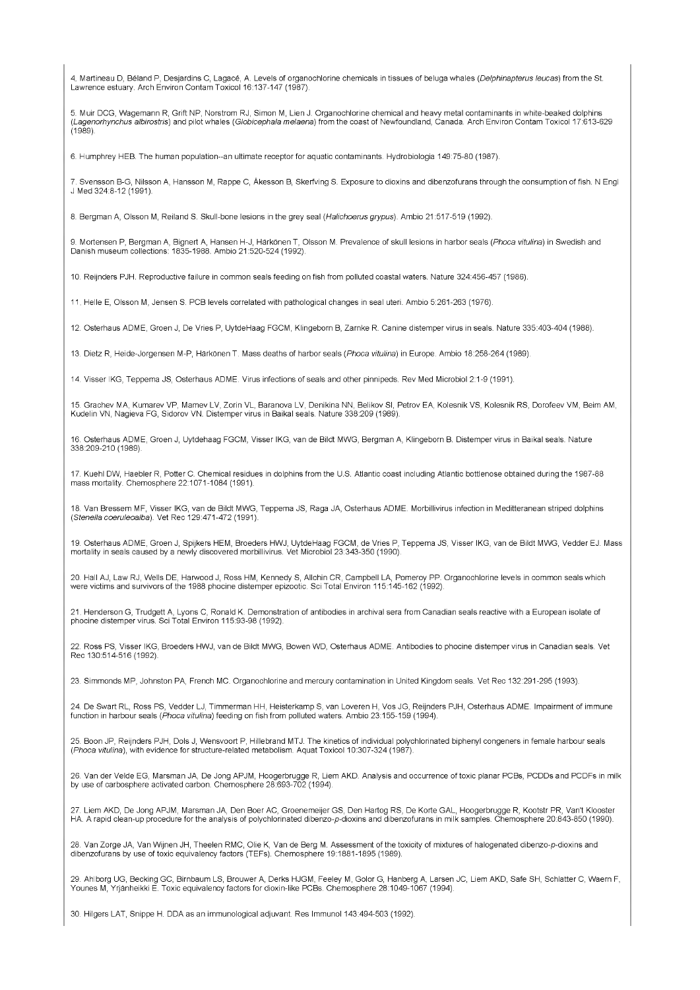4. Martineau D, Béland P, Desjardins C, Lagacé, A. Levels of organochlorine chemicals in tissues of beluga whales (*Delphinapterus leucas*) from the St.<br>Lawrence estuary. Arch Environ Contam Toxicol 16:137-147 (1987).

5. Muir DCG, Wagemann R, Grift NP, Norstrom RJ, Simon M, Lien J. Organochlorine chemical and heavy metal contaminants in white-beaked dolphins *(Lagenorhynchus albirostris)* and pilot whales (*Globicephala melaena)* from the coast of Newfoundland, Canada. Arch Environ Contam Toxicol 17:613-629 (1989).

6. Humphrey HEB. The human population-an ultimate receptor for aquatic contaminants. Hydrobiologia 149:75-80 (1987).

7. Svensson B-G, Nilsson A, Hansson M, Rappe C, Âkesson B, Skerfving S. Exposure to dioxins and dibenzofurans through the consumption offish. N Engl J Med 324:8-12 (1991).

8. Bergman A, Olsson M, Reiland S. Skull-bone lesions in the grey seal (Halichoerus grypus). Ambio 21:517-519 (1992).

9. Mortensen P, Bergman A, Bignert A, Hansen H-J, Härkönen T, Olsson M. Prevalence of skull lesions in harbor seals (*Phoca vitulina)* in Swedish and Danish museum collections: 1835-1988. Ambio 21:520-524 (1992).

10. Reijnders PJH. Reproductive failure in common seals feeding on fish from polluted coastal waters. Nature 324:456-457 (1986).

11. Helle E, Olsson M, Jensen S. PCB levels correlated with pathological changes in seal uteri. Ambio 5:261-263 (1976).

12. Osterhaus ADME, Groen J, De Vries P, UytdeHaag FGCM, Klingeborn B, Zarnke R. Canine distemper virus in seals. Nature 335:403-404 (1988).

13. Dietz R, Heide-Jorgensen M-P, Härkönen T. Mass deaths of harbor seals (*Phoca vitulina)* in Europe. Ambio 18:258-264 (1989).

14. Visser IKG, Teppema JS, Osterhaus ADME. Virus infections of seals and other pinnipeds. Rev Med Microbiol 2:1-9 (1991).

15. Grachev MA, Kumarev VP, Mamev LV, Zorin VL, Baranova LV, Denikina NN, Belikov SI, Petrov EA, Kolesnik VS, Kolesnik RS, Dorofeev VM, Beim AM,<br>Kudelin VN, Nagieva FG, Sidorov VN. Distemper virus in Baikal seals. Nature 3

16. Osterhaus ADME, Groen J, Uytdehaag FGCM, Visser IKG, van de Bildt MWG, Bergman A, Klingeborn B. Distemper virus in Baikal seals. Nature 338:209-210 (1989).

17. Kuehl DW, Haebler R, Potter C. Chemical residues in dolphins from the U.S. Atlantic coast including Atlantic bottlenose obtained during the 1987-88 mass mortality. Chemosphere 22:1071-1084 (1991).

18. Van Bressem MF, Visser IKG, van de Bildt MWG, Teppema JS, Raga JA, Osterhaus ADME. Morbillivirus infection in Meditteranean striped dolphins *(Stenella coeruleoalba).* Vet Rec 129:471-472 (1991).

19. Osterhaus ADME, Groen J, Spijkers HEM, Broeders HWJ, UytdeHaag FGCM, de Vries P, Teppema JS, Visser IKG, van de Bildt MWG, Vedder EJ. Mass<br>mortality in seals caused by a newly discovered morbillivirus. Vet Microbiol 23

20. Hall AJ, Law RJ, Wells DE, Harwood J, Ross HM, Kennedy S, Allchin CR, Campbell LA, Pomeroy PP. Organochlorine levels in common seals which were victims and survivors of the 1988 phocine distemper epizootic. Sei Total Environ 115:145-162 (1992).

21. Henderson G, Trudgett A, Lyons C, Ronald K. Demonstration of antibodies in archival sera from Canadian seals reactive with a European isolate of phocine distemper virus. Sei Total Environ 115:93-98 (1992).

22. Ross PS, Visser IKG, Broeders HWJ, van de Bildt MWG, Bowen WD, Osterhaus ADME. Antibodies to phocine distemper virus in Canadian seals. Vet Rec 130:514-516 (1992).

23. Simmonds MP, Johnston PA, French MC. Organochlorine and mercury contamination in United Kingdom seals. Vet Rec 132:291-295 (1993).

24. De Swart RL, Ross PS, Vedder LJ, Timmerman HH, Heisterkamp S, van Loveren H, Vos JG, Reijnders PJH, Osterhaus ADME. Impairment of immune function in harbour seals *(Phoca vitulina)* feeding on fish from polluted waters. Ambio 23:155-159 (1994).

25. Boon JP, Reijnders PJH, Dols J, Wensvoort P, Hillebrand MTJ. The kinetics of individual polychlorinated biphenyl congeners in female harbour seals *(Phoca vitulina),* with evidence for structure-related metabolism. Aquat Toxicol 10:307-324 (1987).

26. Van der Velde EG, Marsman JA, De Jong APJM, Hoogerbrugge R, Liem AKD. Analysis and occurrence of toxic planar PCBs, PCDDs and PCDFs in milk by use of carbosphere activated carbon. Chemosphere 28:693-702 (1994).

27. Liem AKD, De Jong APJM, Marsman JA, Den Boer AC, Groenemeijer GS, Den Hartog RS, De Korte GAL, Hoogerbrugge R, Kootstr PR, Van't Klooster<br>HA. A rapid clean-up procedure for the analysis of polychlorinated dibenzo-*p-*d

28. Van Zorge JA, Van Wijnen JH, Theelen RMC, Olie K, Van de Berg M. Assessment of the toxicity of mixtures of halogenated dibenzo-p-dioxins and dibenzofurans by use of toxic equivalency factors (TEFs). Chemosphere 19:1881-1895 (1989).

29. Ahi borg UG, Becking GC, Birnbaum LS, Brouwer A, Derks HJGM, Feeley M, Golor G, Hanberg A, Larsen JC, Liem AKD, Safe SH, Schlatter C, Waern F, Younes M, Yrjänheikki E. Toxic equivalency factors for dioxin-like PCBs. Chemosphere 28:1049-1067 (1994).

30. Hilgers LAT, Snippe H. DDA asan immunological adjuvant. Res Immunol 143:494-503 (1992).